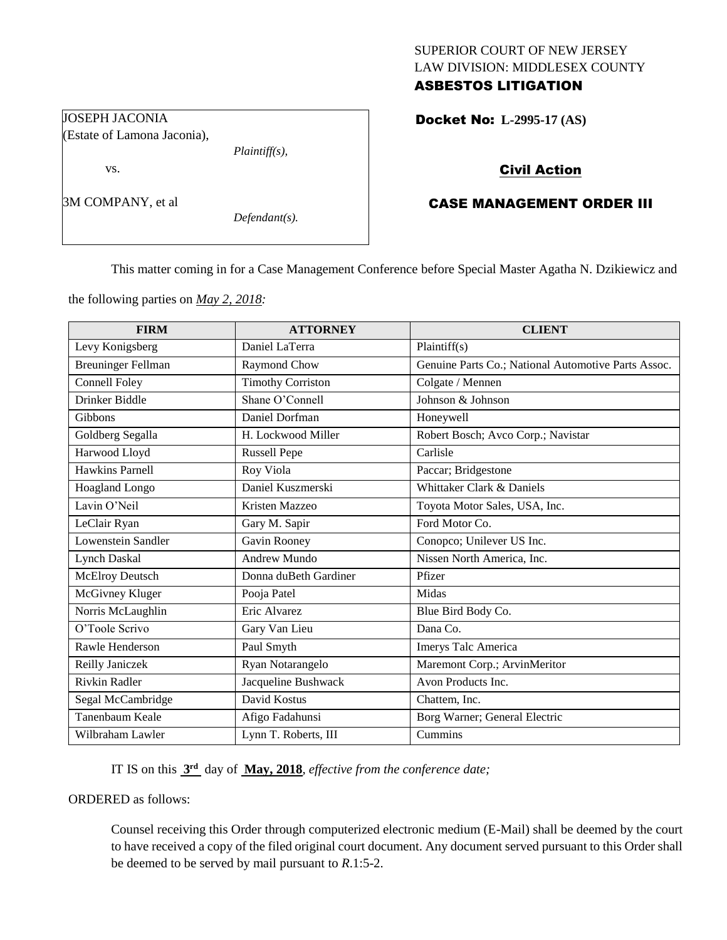## SUPERIOR COURT OF NEW JERSEY LAW DIVISION: MIDDLESEX COUNTY ASBESTOS LITIGATION

Docket No: **L-2995-17 (AS)** 

# Civil Action

# CASE MANAGEMENT ORDER III

This matter coming in for a Case Management Conference before Special Master Agatha N. Dzikiewicz and

the following parties on *May 2, 2018:*

*Plaintiff(s),*

*Defendant(s).*

| <b>FIRM</b>               | <b>ATTORNEY</b>          | <b>CLIENT</b>                                       |
|---------------------------|--------------------------|-----------------------------------------------------|
| Levy Konigsberg           | Daniel LaTerra           | Plaintiff(s)                                        |
| <b>Breuninger Fellman</b> | Raymond Chow             | Genuine Parts Co.; National Automotive Parts Assoc. |
| Connell Foley             | <b>Timothy Corriston</b> | Colgate / Mennen                                    |
| Drinker Biddle            | Shane O'Connell          | Johnson & Johnson                                   |
| <b>Gibbons</b>            | Daniel Dorfman           | Honeywell                                           |
| Goldberg Segalla          | H. Lockwood Miller       | Robert Bosch; Avco Corp.; Navistar                  |
| Harwood Lloyd             | <b>Russell Pepe</b>      | Carlisle                                            |
| <b>Hawkins Parnell</b>    | Roy Viola                | Paccar; Bridgestone                                 |
| Hoagland Longo            | Daniel Kuszmerski        | Whittaker Clark & Daniels                           |
| Lavin O'Neil              | Kristen Mazzeo           | Toyota Motor Sales, USA, Inc.                       |
| LeClair Ryan              | Gary M. Sapir            | Ford Motor Co.                                      |
| Lowenstein Sandler        | Gavin Rooney             | Conopco; Unilever US Inc.                           |
| <b>Lynch Daskal</b>       | Andrew Mundo             | Nissen North America, Inc.                          |
| McElroy Deutsch           | Donna duBeth Gardiner    | Pfizer                                              |
| McGivney Kluger           | Pooja Patel              | Midas                                               |
| Norris McLaughlin         | Eric Alvarez             | Blue Bird Body Co.                                  |
| O'Toole Scrivo            | Gary Van Lieu            | Dana Co.                                            |
| Rawle Henderson           | Paul Smyth               | Imerys Talc America                                 |
| Reilly Janiczek           | Ryan Notarangelo         | Maremont Corp.; ArvinMeritor                        |
| <b>Rivkin Radler</b>      | Jacqueline Bushwack      | Avon Products Inc.                                  |
| Segal McCambridge         | David Kostus             | Chattem, Inc.                                       |
| Tanenbaum Keale           | Afigo Fadahunsi          | Borg Warner; General Electric                       |
| Wilbraham Lawler          | Lynn T. Roberts, III     | Cummins                                             |

IT IS on this **3 rd** day of **May, 2018**, *effective from the conference date;*

ORDERED as follows:

Counsel receiving this Order through computerized electronic medium (E-Mail) shall be deemed by the court to have received a copy of the filed original court document. Any document served pursuant to this Order shall be deemed to be served by mail pursuant to *R*.1:5-2.

JOSEPH JACONIA (Estate of Lamona Jaconia),

vs.

3M COMPANY, et al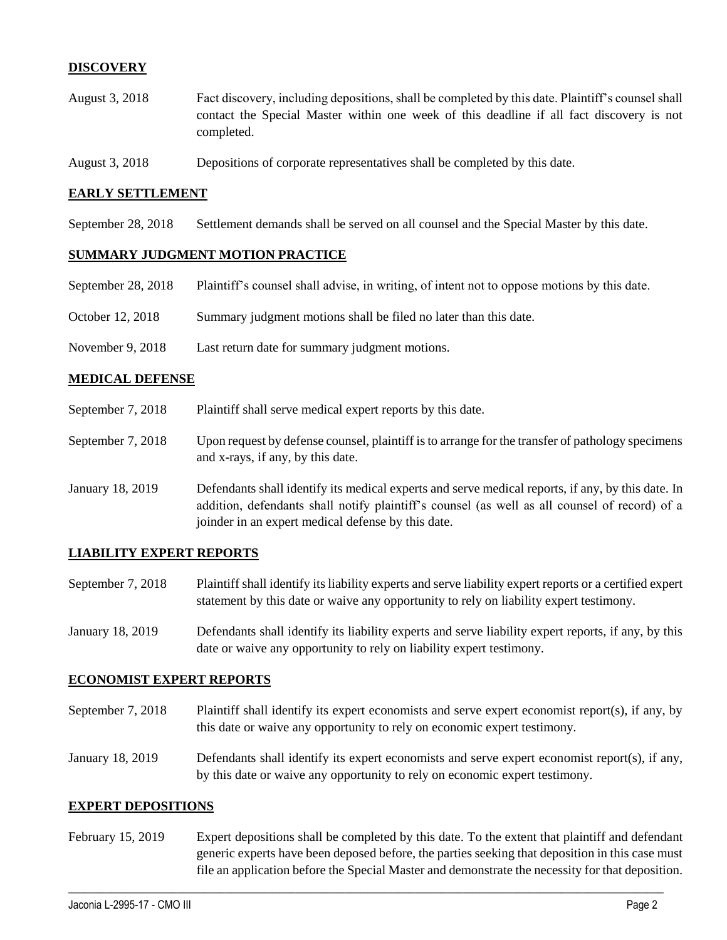## **DISCOVERY**

- August 3, 2018 Fact discovery, including depositions, shall be completed by this date. Plaintiff's counsel shall contact the Special Master within one week of this deadline if all fact discovery is not completed.
- August 3, 2018 Depositions of corporate representatives shall be completed by this date.

#### **EARLY SETTLEMENT**

September 28, 2018 Settlement demands shall be served on all counsel and the Special Master by this date.

#### **SUMMARY JUDGMENT MOTION PRACTICE**

- September 28, 2018 Plaintiff's counsel shall advise, in writing, of intent not to oppose motions by this date.
- October 12, 2018 Summary judgment motions shall be filed no later than this date.
- November 9, 2018 Last return date for summary judgment motions.

#### **MEDICAL DEFENSE**

- September 7, 2018 Plaintiff shall serve medical expert reports by this date.
- September 7, 2018 Upon request by defense counsel, plaintiff is to arrange for the transfer of pathology specimens and x-rays, if any, by this date.
- January 18, 2019 Defendants shall identify its medical experts and serve medical reports, if any, by this date. In addition, defendants shall notify plaintiff's counsel (as well as all counsel of record) of a joinder in an expert medical defense by this date.

## **LIABILITY EXPERT REPORTS**

- September 7, 2018 Plaintiff shall identify its liability experts and serve liability expert reports or a certified expert statement by this date or waive any opportunity to rely on liability expert testimony.
- January 18, 2019 Defendants shall identify its liability experts and serve liability expert reports, if any, by this date or waive any opportunity to rely on liability expert testimony.

## **ECONOMIST EXPERT REPORTS**

- September 7, 2018 Plaintiff shall identify its expert economists and serve expert economist report(s), if any, by this date or waive any opportunity to rely on economic expert testimony.
- January 18, 2019 Defendants shall identify its expert economists and serve expert economist report(s), if any, by this date or waive any opportunity to rely on economic expert testimony.

#### **EXPERT DEPOSITIONS**

February 15, 2019 Expert depositions shall be completed by this date. To the extent that plaintiff and defendant generic experts have been deposed before, the parties seeking that deposition in this case must file an application before the Special Master and demonstrate the necessity for that deposition.

 $\_$  ,  $\_$  ,  $\_$  ,  $\_$  ,  $\_$  ,  $\_$  ,  $\_$  ,  $\_$  ,  $\_$  ,  $\_$  ,  $\_$  ,  $\_$  ,  $\_$  ,  $\_$  ,  $\_$  ,  $\_$  ,  $\_$  ,  $\_$  ,  $\_$  ,  $\_$  ,  $\_$  ,  $\_$  ,  $\_$  ,  $\_$  ,  $\_$  ,  $\_$  ,  $\_$  ,  $\_$  ,  $\_$  ,  $\_$  ,  $\_$  ,  $\_$  ,  $\_$  ,  $\_$  ,  $\_$  ,  $\_$  ,  $\_$  ,